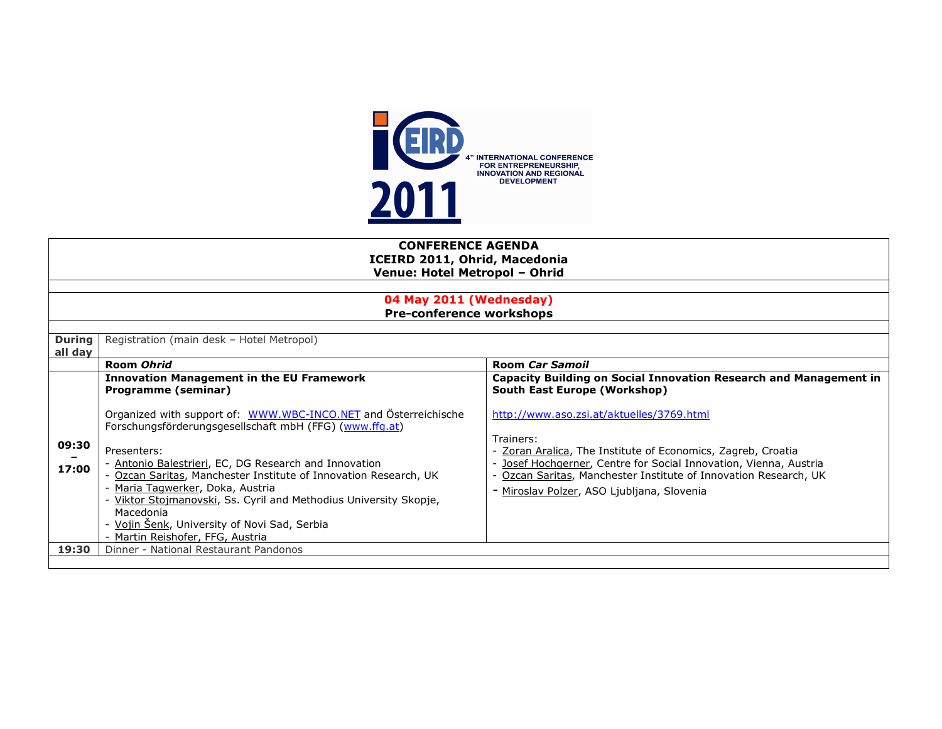

|                          | <b>CONFERENCE AGENDA</b><br><b>ICEIRD 2011, Ohrid, Macedonia</b><br>Venue: Hotel Metropol - Ohrid                          |                                                                                                                                   |  |  |  |
|--------------------------|----------------------------------------------------------------------------------------------------------------------------|-----------------------------------------------------------------------------------------------------------------------------------|--|--|--|
|                          | 04 May 2011 (Wednesday)                                                                                                    |                                                                                                                                   |  |  |  |
|                          | <b>Pre-conference workshops</b>                                                                                            |                                                                                                                                   |  |  |  |
| <b>During</b><br>all day | Registration (main desk - Hotel Metropol)                                                                                  |                                                                                                                                   |  |  |  |
|                          | Room Ohrid                                                                                                                 | <b>Room Car Samoil</b>                                                                                                            |  |  |  |
|                          | <b>Innovation Management in the EU Framework</b><br>Programme (seminar)                                                    | <b>Capacity Building on Social Innovation Research and Management in</b><br><b>South East Europe (Workshop)</b>                   |  |  |  |
| 09:30                    | Organized with support of: WWW.WBC-INCO.NET and Österreichische<br>Forschungsförderungsgesellschaft mbH (FFG) (www.ffg.at) | http://www.aso.zsi.at/aktuelles/3769.html                                                                                         |  |  |  |
|                          | Presenters:                                                                                                                | Trainers:                                                                                                                         |  |  |  |
|                          | - Antonio Balestrieri, EC, DG Research and Innovation                                                                      | - Zoran Aralica, The Institute of Economics, Zagreb, Croatia<br>- Josef Hochgerner, Centre for Social Innovation, Vienna, Austria |  |  |  |
| 17:00                    | Ozcan Saritas, Manchester Institute of Innovation Research, UK                                                             | Ozcan Saritas, Manchester Institute of Innovation Research, UK                                                                    |  |  |  |
|                          | - Maria Tagwerker, Doka, Austria                                                                                           | - Miroslav Polzer, ASO Ljubljana, Slovenia                                                                                        |  |  |  |
|                          | - Viktor Stojmanovski, Ss. Cyril and Methodius University Skopje,<br>Macedonia                                             |                                                                                                                                   |  |  |  |
|                          | - Vojin Šenk, University of Novi Sad, Serbia                                                                               |                                                                                                                                   |  |  |  |
|                          | - Martin Reishofer, FFG, Austria                                                                                           |                                                                                                                                   |  |  |  |
| 19:30                    | Dinner - National Restaurant Pandonos                                                                                      |                                                                                                                                   |  |  |  |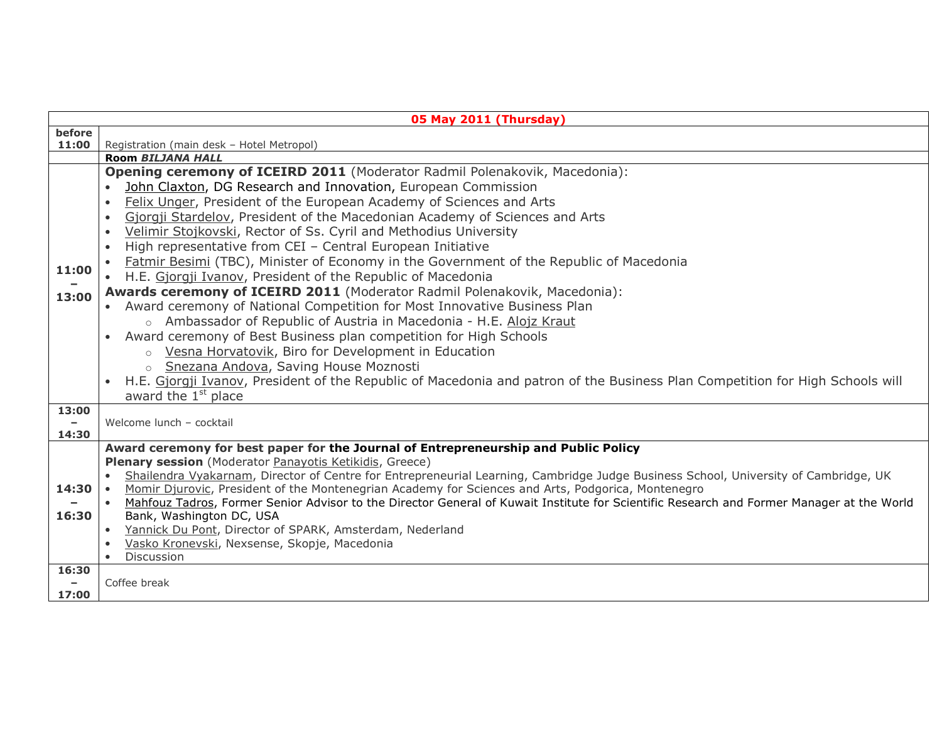|                                   | 05 May 2011 (Thursday)                                                                                                                                                |  |  |  |
|-----------------------------------|-----------------------------------------------------------------------------------------------------------------------------------------------------------------------|--|--|--|
| before                            |                                                                                                                                                                       |  |  |  |
| 11:00                             | Registration (main desk - Hotel Metropol)                                                                                                                             |  |  |  |
|                                   | Room BILJANA HALL                                                                                                                                                     |  |  |  |
|                                   | Opening ceremony of ICEIRD 2011 (Moderator Radmil Polenakovik, Macedonia):<br>John Claxton, DG Research and Innovation, European Commission                           |  |  |  |
|                                   | Felix Unger, President of the European Academy of Sciences and Arts<br>$\bullet$                                                                                      |  |  |  |
|                                   | Gjorgji Stardelov, President of the Macedonian Academy of Sciences and Arts<br>$\bullet$                                                                              |  |  |  |
|                                   | Velimir Stojkovski, Rector of Ss. Cyril and Methodius University<br>$\bullet$                                                                                         |  |  |  |
|                                   | High representative from CEI - Central European Initiative                                                                                                            |  |  |  |
|                                   | Fatmir Besimi (TBC), Minister of Economy in the Government of the Republic of Macedonia                                                                               |  |  |  |
| 11:00                             | • H.E. Gjorgji Ivanov, President of the Republic of Macedonia                                                                                                         |  |  |  |
| 13:00                             | Awards ceremony of ICEIRD 2011 (Moderator Radmil Polenakovik, Macedonia):                                                                                             |  |  |  |
|                                   | • Award ceremony of National Competition for Most Innovative Business Plan                                                                                            |  |  |  |
|                                   | Ambassador of Republic of Austria in Macedonia - H.E. Alojz Kraut<br>$\circ$                                                                                          |  |  |  |
|                                   | Award ceremony of Best Business plan competition for High Schools                                                                                                     |  |  |  |
|                                   | Vesna Horvatovik, Biro for Development in Education<br>$\circ$                                                                                                        |  |  |  |
|                                   | Snezana Andova, Saving House Moznosti<br>$\circ$                                                                                                                      |  |  |  |
|                                   | H.E. Gjorgji Ivanov, President of the Republic of Macedonia and patron of the Business Plan Competition for High Schools will                                         |  |  |  |
|                                   | award the 1 <sup>st</sup> place                                                                                                                                       |  |  |  |
| 13:00<br>$\overline{\phantom{a}}$ | Welcome lunch - cocktail                                                                                                                                              |  |  |  |
| 14:30                             |                                                                                                                                                                       |  |  |  |
|                                   | Award ceremony for best paper for the Journal of Entrepreneurship and Public Policy                                                                                   |  |  |  |
|                                   | Plenary session (Moderator Panayotis Ketikidis, Greece)                                                                                                               |  |  |  |
|                                   | Shailendra Vyakarnam, Director of Centre for Entrepreneurial Learning, Cambridge Judge Business School, University of Cambridge, UK                                   |  |  |  |
| 14:30                             | Momir Djurovic, President of the Montenegrian Academy for Sciences and Arts, Podgorica, Montenegro                                                                    |  |  |  |
| 16:30                             | Mahfouz Tadros, Former Senior Advisor to the Director General of Kuwait Institute for Scientific Research and Former Manager at the World<br>Bank, Washington DC, USA |  |  |  |
|                                   | Yannick Du Pont, Director of SPARK, Amsterdam, Nederland<br>$\bullet$                                                                                                 |  |  |  |
|                                   | Vasko Kronevski, Nexsense, Skopje, Macedonia                                                                                                                          |  |  |  |
|                                   | Discussion                                                                                                                                                            |  |  |  |
| 16:30                             |                                                                                                                                                                       |  |  |  |
|                                   |                                                                                                                                                                       |  |  |  |
| 17:00                             | Coffee break                                                                                                                                                          |  |  |  |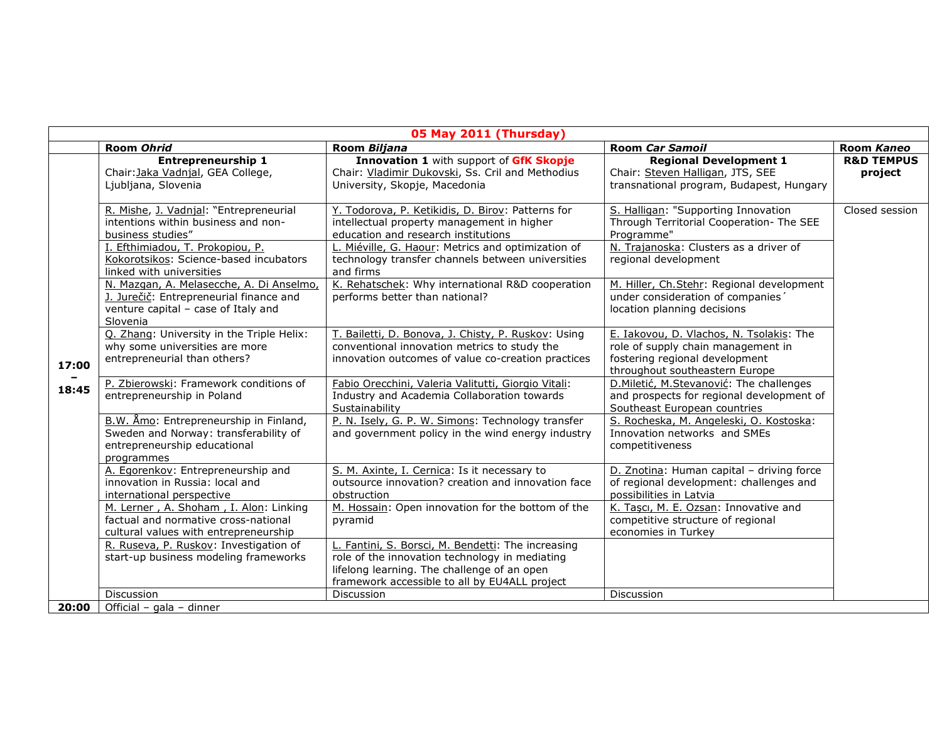| 05 May 2011 (Thursday) |                                                                                                                                                                                  |                                                                                                                                                                                                                                                |                                                                                                                                                                 |                                  |
|------------------------|----------------------------------------------------------------------------------------------------------------------------------------------------------------------------------|------------------------------------------------------------------------------------------------------------------------------------------------------------------------------------------------------------------------------------------------|-----------------------------------------------------------------------------------------------------------------------------------------------------------------|----------------------------------|
|                        | Room Ohrid                                                                                                                                                                       | Room Biljana                                                                                                                                                                                                                                   | <b>Room Car Samoil</b>                                                                                                                                          | Room Kaneo                       |
| 17:00                  | <b>Entrepreneurship 1</b><br>Chair: Jaka Vadnjal, GEA College,<br>Ljubljana, Slovenia                                                                                            | Innovation 1 with support of GfK Skopje<br>Chair: Vladimir Dukovski, Ss. Cril and Methodius<br>University, Skopje, Macedonia                                                                                                                   | <b>Regional Development 1</b><br>Chair: Steven Halligan, JTS, SEE<br>transnational program, Budapest, Hungary                                                   | <b>R&amp;D TEMPUS</b><br>project |
|                        | R. Mishe, J. Vadnjal: "Entrepreneurial<br>intentions within business and non-<br>business studies"<br>I. Efthimiadou, T. Prokopiou, P.<br>Kokorotsikos: Science-based incubators | Y. Todorova, P. Ketikidis, D. Birov: Patterns for<br>intellectual property management in higher<br>education and research institutions<br>Miéville, G. Haour: Metrics and optimization of<br>technology transfer channels between universities | S. Halligan: "Supporting Innovation<br>Through Territorial Cooperation- The SEE<br>Programme"<br>N. Trajanoska: Clusters as a driver of<br>regional development | Closed session                   |
|                        | linked with universities<br>N. Mazgan, A. Melasecche, A. Di Anselmo,<br>J. Jurečič: Entrepreneurial finance and<br>venture capital - case of Italy and<br>Slovenia               | and firms<br>K. Rehatschek: Why international R&D cooperation<br>performs better than national?                                                                                                                                                | M. Hiller, Ch. Stehr: Regional development<br>under consideration of companies'<br>location planning decisions                                                  |                                  |
|                        | Q. Zhang: University in the Triple Helix:<br>why some universities are more<br>entrepreneurial than others?                                                                      | T. Bailetti, D. Bonova, J. Chisty, P. Ruskov: Using<br>conventional innovation metrics to study the<br>innovation outcomes of value co-creation practices                                                                                      | E. Iakovou, D. Vlachos, N. Tsolakis: The<br>role of supply chain management in<br>fostering regional development<br>throughout southeastern Europe              |                                  |
| 18:45                  | P. Zbierowski: Framework conditions of<br>entrepreneurship in Poland                                                                                                             | Fabio Orecchini, Valeria Valitutti, Giorgio Vitali:<br>Industry and Academia Collaboration towards<br>Sustainability                                                                                                                           | D.Miletić, M.Stevanović: The challenges<br>and prospects for regional development of<br>Southeast European countries                                            |                                  |
|                        | B.W. Åmo: Entrepreneurship in Finland,<br>Sweden and Norway: transferability of<br>entrepreneurship educational<br>programmes                                                    | P. N. Isely, G. P. W. Simons: Technology transfer<br>and government policy in the wind energy industry                                                                                                                                         | S. Rocheska, M. Angeleski, O. Kostoska:<br>Innovation networks and SMEs<br>competitiveness                                                                      |                                  |
|                        | A. Egorenkov: Entrepreneurship and<br>innovation in Russia: local and<br>international perspective                                                                               | S. M. Axinte, I. Cernica: Is it necessary to<br>outsource innovation? creation and innovation face<br>obstruction                                                                                                                              | D. Znotina: Human capital - driving force<br>of regional development: challenges and<br>possibilities in Latvia                                                 |                                  |
|                        | M. Lerner, A. Shoham, I. Alon: Linking<br>factual and normative cross-national<br>cultural values with entrepreneurship                                                          | M. Hossain: Open innovation for the bottom of the<br>pyramid                                                                                                                                                                                   | K. Tascı, M. E. Ozsan: Innovative and<br>competitive structure of regional<br>economies in Turkey                                                               |                                  |
|                        | R. Ruseva, P. Ruskov: Investigation of<br>start-up business modeling frameworks                                                                                                  | L. Fantini, S. Borsci, M. Bendetti: The increasing<br>role of the innovation technology in mediating<br>lifelong learning. The challenge of an open<br>framework accessible to all by EU4ALL project                                           |                                                                                                                                                                 |                                  |
|                        | <b>Discussion</b>                                                                                                                                                                | Discussion                                                                                                                                                                                                                                     | <b>Discussion</b>                                                                                                                                               |                                  |
| 20:00                  | Official - gala - dinner                                                                                                                                                         |                                                                                                                                                                                                                                                |                                                                                                                                                                 |                                  |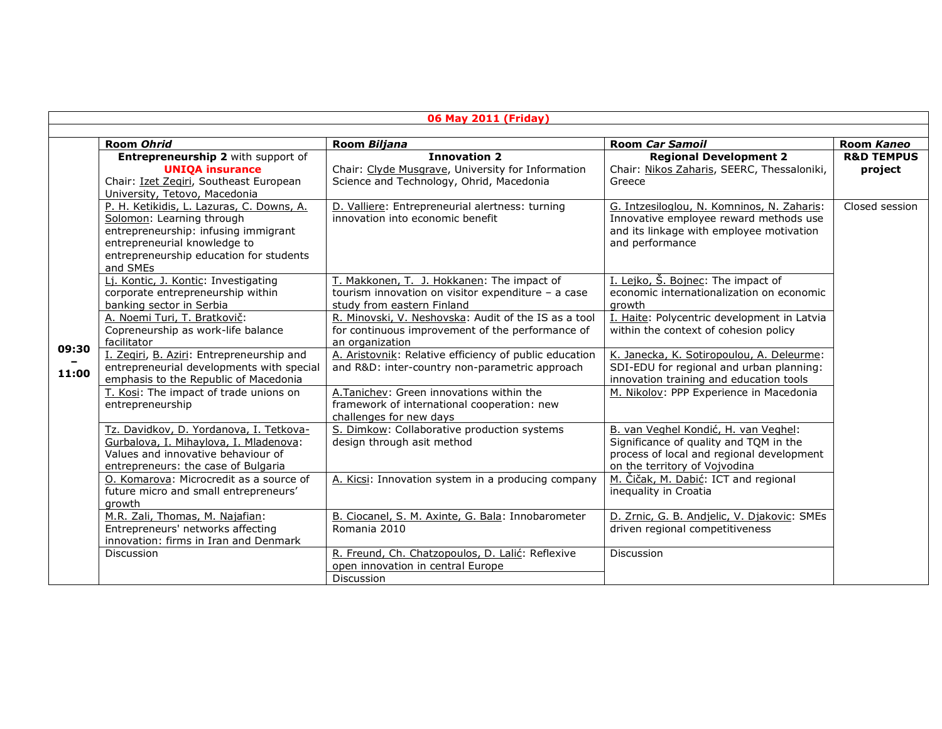| 06 May 2011 (Friday) |                                                                                                                                                                                                              |                                                                                                                                                                                                                                            |                                                                                                                                                                                                      |                                  |
|----------------------|--------------------------------------------------------------------------------------------------------------------------------------------------------------------------------------------------------------|--------------------------------------------------------------------------------------------------------------------------------------------------------------------------------------------------------------------------------------------|------------------------------------------------------------------------------------------------------------------------------------------------------------------------------------------------------|----------------------------------|
|                      | Room Ohrid                                                                                                                                                                                                   | Room Biljana                                                                                                                                                                                                                               | <b>Room Car Samoil</b>                                                                                                                                                                               | Room Kaneo                       |
| 09:30<br>11:00       | Entrepreneurship 2 with support of<br><b>UNIQA insurance</b><br>Chair: Izet Zegiri, Southeast European<br>University, Tetovo, Macedonia                                                                      | <b>Innovation 2</b><br>Chair: Clyde Musgrave, University for Information<br>Science and Technology, Ohrid, Macedonia                                                                                                                       | <b>Regional Development 2</b><br>Chair: Nikos Zaharis, SEERC, Thessaloniki,<br>Greece                                                                                                                | <b>R&amp;D TEMPUS</b><br>project |
|                      | P. H. Ketikidis, L. Lazuras, C. Downs, A.<br>Solomon: Learning through<br>entrepreneurship: infusing immigrant<br>entrepreneurial knowledge to<br>entrepreneurship education for students<br>and SMEs        | D. Valliere: Entrepreneurial alertness: turning<br>innovation into economic benefit                                                                                                                                                        | G. Intzesiloglou, N. Komninos, N. Zaharis:<br>Innovative employee reward methods use<br>and its linkage with employee motivation<br>and performance                                                  | Closed session                   |
|                      | Li. Kontic, J. Kontic: Investigating<br>corporate entrepreneurship within<br>banking sector in Serbia<br>A. Noemi Turi, T. Bratkovič:<br>Copreneurship as work-life balance                                  | T. Makkonen, T. J. Hokkanen: The impact of<br>tourism innovation on visitor expenditure - a case<br>study from eastern Finland<br>R. Minovski, V. Neshovska: Audit of the IS as a tool<br>for continuous improvement of the performance of | I. Leiko, Š. Bojnec: The impact of<br>economic internationalization on economic<br>arowth<br>I. Haite: Polycentric development in Latvia<br>within the context of cohesion policy                    |                                  |
|                      | facilitator<br>I. Zegiri, B. Aziri: Entrepreneurship and<br>entrepreneurial developments with special<br>emphasis to the Republic of Macedonia<br>T. Kosi: The impact of trade unions on<br>entrepreneurship | an organization<br>A. Aristovnik: Relative efficiency of public education<br>and R&D: inter-country non-parametric approach<br>A.Tanichev: Green innovations within the<br>framework of international cooperation: new                     | K. Janecka, K. Sotiropoulou, A. Deleurme:<br>SDI-EDU for regional and urban planning:<br>innovation training and education tools<br>M. Nikolov: PPP Experience in Macedonia                          |                                  |
|                      | Tz. Davidkov, D. Yordanova, I. Tetkova-<br>Gurbalova, I. Mihaylova, I. Mladenova:<br>Values and innovative behaviour of<br>entrepreneurs: the case of Bulgaria<br>O. Komarova: Microcredit as a source of    | challenges for new days<br>S. Dimkow: Collaborative production systems<br>design through asit method<br>A. Kicsi: Innovation system in a producing company                                                                                 | B. van Veghel Kondić, H. van Veghel:<br>Significance of quality and TQM in the<br>process of local and regional development<br>on the territory of Vojvodina<br>M. Čičak, M. Dabić: ICT and regional |                                  |
|                      | future micro and small entrepreneurs'<br>growth                                                                                                                                                              |                                                                                                                                                                                                                                            | inequality in Croatia                                                                                                                                                                                |                                  |
|                      | M.R. Zali, Thomas, M. Najafian:<br>Entrepreneurs' networks affecting<br>innovation: firms in Iran and Denmark                                                                                                | B. Ciocanel, S. M. Axinte, G. Bala: Innobarometer<br>Romania 2010                                                                                                                                                                          | D. Zrnic, G. B. Andjelic, V. Djakovic: SMEs<br>driven regional competitiveness                                                                                                                       |                                  |
|                      | <b>Discussion</b>                                                                                                                                                                                            | R. Freund, Ch. Chatzopoulos, D. Lalić: Reflexive<br>open innovation in central Europe<br><b>Discussion</b>                                                                                                                                 | <b>Discussion</b>                                                                                                                                                                                    |                                  |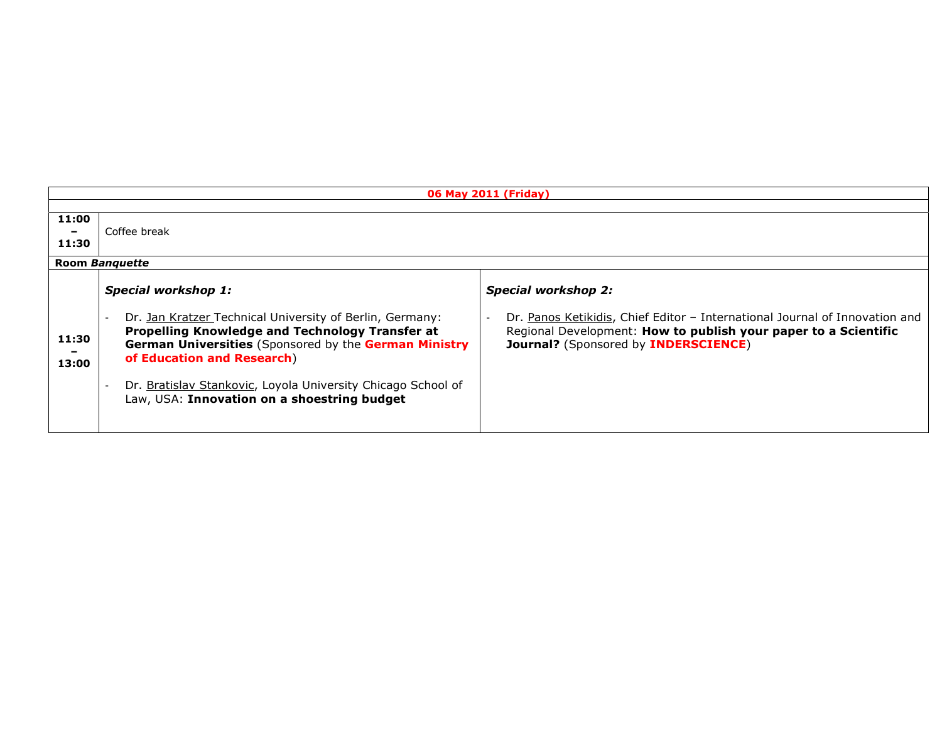|                | 06 May 2011 (Friday)                                                                                                                                                                                                                                                                                                                            |                                                                                                                                                                                                                      |  |  |
|----------------|-------------------------------------------------------------------------------------------------------------------------------------------------------------------------------------------------------------------------------------------------------------------------------------------------------------------------------------------------|----------------------------------------------------------------------------------------------------------------------------------------------------------------------------------------------------------------------|--|--|
|                |                                                                                                                                                                                                                                                                                                                                                 |                                                                                                                                                                                                                      |  |  |
| 11:00<br>11:30 | Coffee break                                                                                                                                                                                                                                                                                                                                    |                                                                                                                                                                                                                      |  |  |
|                | Room Banguette                                                                                                                                                                                                                                                                                                                                  |                                                                                                                                                                                                                      |  |  |
| 11:30<br>13:00 | <b>Special workshop 1:</b><br>Dr. Jan Kratzer Technical University of Berlin, Germany:<br>Propelling Knowledge and Technology Transfer at<br>German Universities (Sponsored by the German Ministry<br>of Education and Research)<br>Dr. Bratislav Stankovic, Loyola University Chicago School of<br>Law, USA: Innovation on a shoestring budget | <b>Special workshop 2:</b><br>Dr. Panos Ketikidis, Chief Editor - International Journal of Innovation and<br>Regional Development: How to publish your paper to a Scientific<br>Journal? (Sponsored by INDERSCIENCE) |  |  |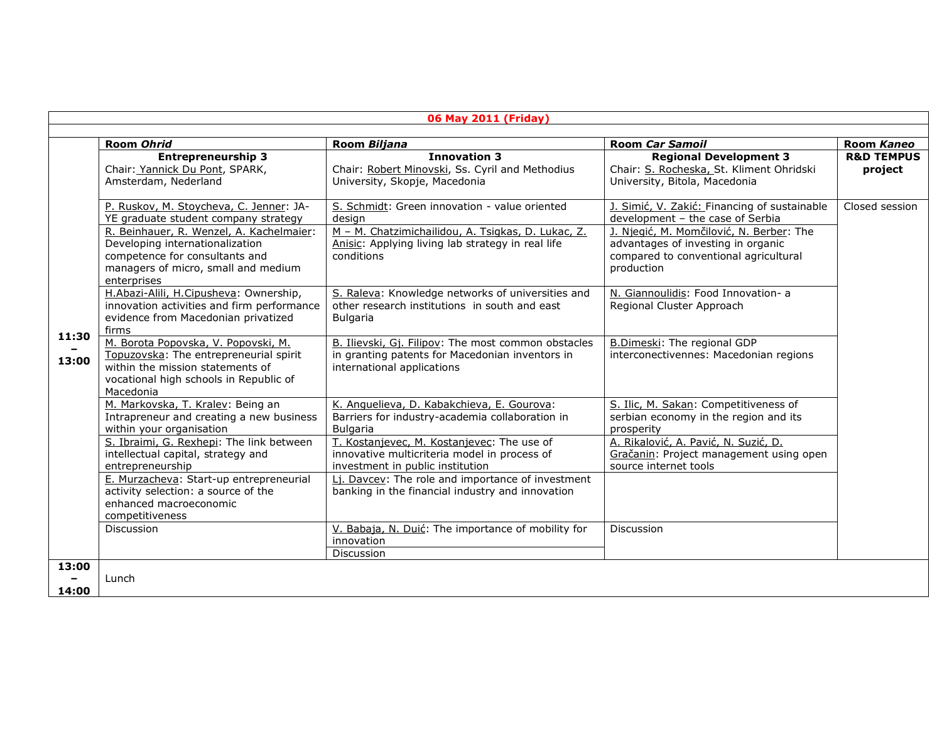|                | 06 May 2011 (Friday)                                                                                                                                                                                                                                                                                                                                                                                                                                                                                                |                                                                                                                                                                                                                                                                                                                                                                                                                                            |                                                                                                                                                                                                                                                                                                                                                                        |                                  |  |
|----------------|---------------------------------------------------------------------------------------------------------------------------------------------------------------------------------------------------------------------------------------------------------------------------------------------------------------------------------------------------------------------------------------------------------------------------------------------------------------------------------------------------------------------|--------------------------------------------------------------------------------------------------------------------------------------------------------------------------------------------------------------------------------------------------------------------------------------------------------------------------------------------------------------------------------------------------------------------------------------------|------------------------------------------------------------------------------------------------------------------------------------------------------------------------------------------------------------------------------------------------------------------------------------------------------------------------------------------------------------------------|----------------------------------|--|
|                | Room Ohrid                                                                                                                                                                                                                                                                                                                                                                                                                                                                                                          | Room Biljana                                                                                                                                                                                                                                                                                                                                                                                                                               | <b>Room Car Samoil</b>                                                                                                                                                                                                                                                                                                                                                 | Room Kaneo                       |  |
| 11:30<br>13:00 | <b>Entrepreneurship 3</b><br>Chair: Yannick Du Pont, SPARK,<br>Amsterdam, Nederland                                                                                                                                                                                                                                                                                                                                                                                                                                 | <b>Innovation 3</b><br>Chair: Robert Minovski, Ss. Cyril and Methodius<br>University, Skopje, Macedonia                                                                                                                                                                                                                                                                                                                                    | <b>Regional Development 3</b><br>Chair: S. Rocheska, St. Kliment Ohridski<br>University, Bitola, Macedonia                                                                                                                                                                                                                                                             | <b>R&amp;D TEMPUS</b><br>project |  |
|                | P. Ruskov, M. Stoycheva, C. Jenner: JA-<br>YE graduate student company strategy<br>R. Beinhauer, R. Wenzel, A. Kachelmaier:<br>Developing internationalization<br>competence for consultants and<br>managers of micro, small and medium<br>enterprises<br>H.Abazi-Alili, H.Cipusheva: Ownership,<br>innovation activities and firm performance<br>evidence from Macedonian privatized<br>firms<br>M. Borota Popovska, V. Popovski, M.<br>Topuzovska: The entrepreneurial spirit<br>within the mission statements of | S. Schmidt: Green innovation - value oriented<br>design<br>M - M. Chatzimichailidou, A. Tsigkas, D. Lukac, Z.<br>Anisic: Applying living lab strategy in real life<br>conditions<br>S. Raleva: Knowledge networks of universities and<br>other research institutions in south and east<br>Bulgaria<br>B. Ilievski, Gj. Filipov: The most common obstacles<br>in granting patents for Macedonian inventors in<br>international applications | J. Simić, V. Zakić: Financing of sustainable<br>development - the case of Serbia<br>J. Njegić, M. Momčilović, N. Berber: The<br>advantages of investing in organic<br>compared to conventional agricultural<br>production<br>N. Giannoulidis: Food Innovation- a<br>Regional Cluster Approach<br>B.Dimeski: The regional GDP<br>interconectivennes: Macedonian regions | Closed session                   |  |
|                | vocational high schools in Republic of<br>Macedonia<br>M. Markovska, T. Kralev: Being an<br>Intrapreneur and creating a new business<br>within your organisation<br>S. Ibraimi, G. Rexhepi: The link between<br>intellectual capital, strategy and<br>entrepreneurship<br>E. Murzacheva: Start-up entrepreneurial<br>activity selection: a source of the<br>enhanced macroeconomic<br>competitiveness                                                                                                               | K. Anguelieva, D. Kabakchieva, E. Gourova:<br>Barriers for industry-academia collaboration in<br><b>Bulgaria</b><br>T. Kostanjevec, M. Kostanjevec: The use of<br>innovative multicriteria model in process of<br>investment in public institution<br>Lj. Davcev: The role and importance of investment<br>banking in the financial industry and innovation                                                                                | S. Ilic, M. Sakan: Competitiveness of<br>serbian economy in the region and its<br>prosperity<br>A. Rikalović, A. Pavić, N. Suzić, D.<br>Gračanin: Project management using open<br>source internet tools                                                                                                                                                               |                                  |  |
|                | <b>Discussion</b>                                                                                                                                                                                                                                                                                                                                                                                                                                                                                                   | V. Babaja, N. Duić: The importance of mobility for<br>innovation<br>Discussion                                                                                                                                                                                                                                                                                                                                                             | <b>Discussion</b>                                                                                                                                                                                                                                                                                                                                                      |                                  |  |
| 13:00<br>14:00 | Lunch                                                                                                                                                                                                                                                                                                                                                                                                                                                                                                               |                                                                                                                                                                                                                                                                                                                                                                                                                                            |                                                                                                                                                                                                                                                                                                                                                                        |                                  |  |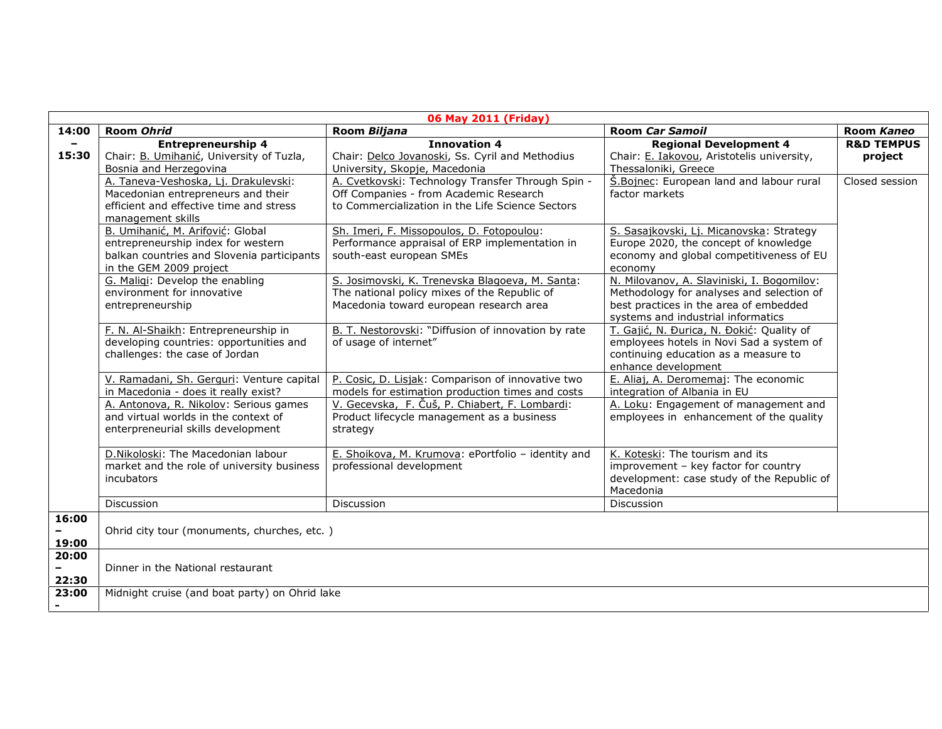| 06 May 2011 (Friday)              |                                                                                                                                                 |                                                                                                                                                 |                                                                                                                                                                         |                                  |
|-----------------------------------|-------------------------------------------------------------------------------------------------------------------------------------------------|-------------------------------------------------------------------------------------------------------------------------------------------------|-------------------------------------------------------------------------------------------------------------------------------------------------------------------------|----------------------------------|
| 14:00                             | Room Ohrid                                                                                                                                      | Room Biljana                                                                                                                                    | <b>Room Car Samoil</b>                                                                                                                                                  | Room Kaneo                       |
| $\overline{\phantom{a}}$<br>15:30 | <b>Entrepreneurship 4</b><br>Chair: B. Umihanić, University of Tuzla,<br>Bosnia and Herzegovina                                                 | <b>Innovation 4</b><br>Chair: Delco Jovanoski, Ss. Cyril and Methodius<br>University, Skopje, Macedonia                                         | <b>Regional Development 4</b><br>Chair: E. Iakovou, Aristotelis university,<br>Thessaloniki, Greece                                                                     | <b>R&amp;D TEMPUS</b><br>project |
|                                   | A. Taneva-Veshoska, Lj. Drakulevski:<br>Macedonian entrepreneurs and their<br>efficient and effective time and stress<br>management skills      | A. Cvetkovski: Technology Transfer Through Spin -<br>Off Companies - from Academic Research<br>to Commercialization in the Life Science Sectors | <b>S.Bojnec:</b> European land and labour rural<br>factor markets                                                                                                       | Closed session                   |
|                                   | B. Umihanić, M. Arifović: Global<br>entrepreneurship index for western<br>balkan countries and Slovenia participants<br>in the GEM 2009 project | Sh. Imeri, F. Missopoulos, D. Fotopoulou:<br>Performance appraisal of ERP implementation in<br>south-east european SMEs                         | S. Sasajkovski, Lj. Micanovska: Strategy<br>Europe 2020, the concept of knowledge<br>economy and global competitiveness of EU<br>economy                                |                                  |
|                                   | G. Maligi: Develop the enabling<br>environment for innovative<br>entrepreneurship                                                               | S. Josimovski, K. Trenevska Blagoeva, M. Santa:<br>The national policy mixes of the Republic of<br>Macedonia toward european research area      | N. Milovanov, A. Slaviniski, I. Bogomilov:<br>Methodology for analyses and selection of<br>best practices in the area of embedded<br>systems and industrial informatics |                                  |
|                                   | F. N. Al-Shaikh: Entrepreneurship in<br>developing countries: opportunities and<br>challenges: the case of Jordan                               | B. T. Nestorovski: "Diffusion of innovation by rate<br>of usage of internet"                                                                    | T. Gajić, N. Đurica, N. Đokić: Quality of<br>employees hotels in Novi Sad a system of<br>continuing education as a measure to<br>enhance development                    |                                  |
|                                   | V. Ramadani, Sh. Gerguri: Venture capital<br>in Macedonia - does it really exist?                                                               | P. Cosic, D. Lisjak: Comparison of innovative two<br>models for estimation production times and costs                                           | E. Aliaj, A. Deromemaj: The economic<br>integration of Albania in EU                                                                                                    |                                  |
|                                   | A. Antonova, R. Nikolov: Serious games<br>and virtual worlds in the context of<br>enterpreneurial skills development                            | V. Gecevska, F. Čuš, P. Chiabert, F. Lombardi:<br>Product lifecycle management as a business<br>strategy                                        | A. Loku: Engagement of management and<br>employees in enhancement of the quality                                                                                        |                                  |
|                                   | D.Nikoloski: The Macedonian labour<br>market and the role of university business<br>incubators                                                  | E. Shoikova, M. Krumova: ePortfolio - identity and<br>professional development                                                                  | K. Koteski: The tourism and its<br>improvement - key factor for country<br>development: case study of the Republic of<br>Macedonia                                      |                                  |
|                                   | Discussion                                                                                                                                      | <b>Discussion</b>                                                                                                                               | Discussion                                                                                                                                                              |                                  |
| 16:00<br>19:00                    | Ohrid city tour (monuments, churches, etc.)                                                                                                     |                                                                                                                                                 |                                                                                                                                                                         |                                  |
| 20:00<br>22:30                    | Dinner in the National restaurant                                                                                                               |                                                                                                                                                 |                                                                                                                                                                         |                                  |
| 23:00                             | Midnight cruise (and boat party) on Ohrid lake                                                                                                  |                                                                                                                                                 |                                                                                                                                                                         |                                  |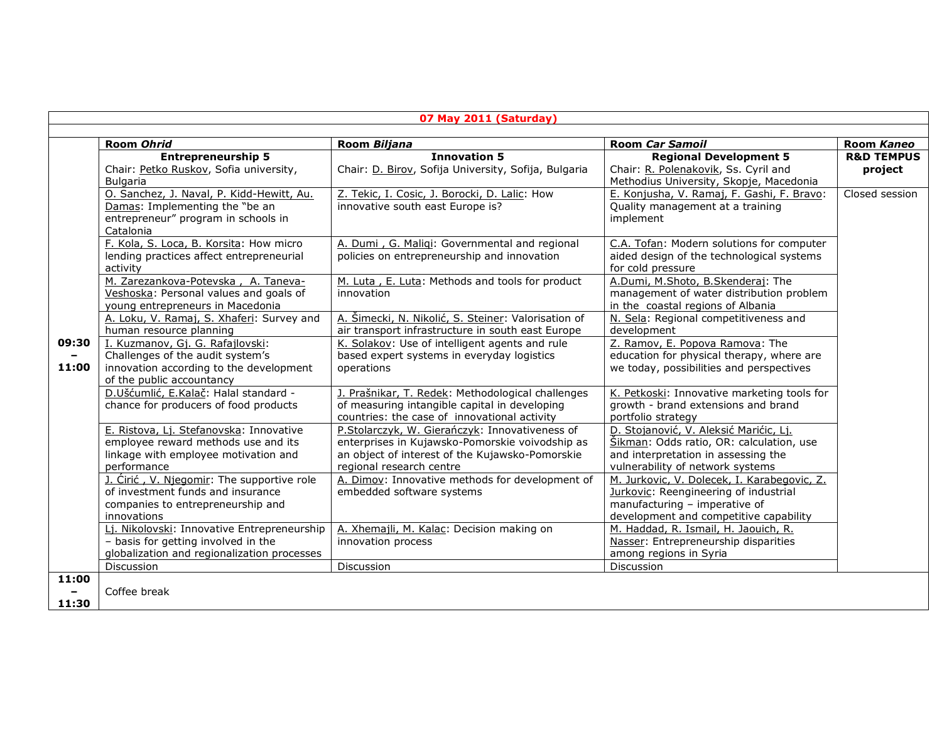| 07 May 2011 (Saturday) |                                                                                                                                              |                                                                                                                                                                                  |                                                                                                                                                                 |                                  |
|------------------------|----------------------------------------------------------------------------------------------------------------------------------------------|----------------------------------------------------------------------------------------------------------------------------------------------------------------------------------|-----------------------------------------------------------------------------------------------------------------------------------------------------------------|----------------------------------|
|                        | Room Ohrid                                                                                                                                   | Room Biljana                                                                                                                                                                     | <b>Room Car Samoil</b>                                                                                                                                          | Room Kaneo                       |
|                        | <b>Entrepreneurship 5</b><br>Chair: Petko Ruskov, Sofia university,<br><b>Bulgaria</b>                                                       | <b>Innovation 5</b><br>Chair: D. Birov, Sofija University, Sofija, Bulgaria                                                                                                      | <b>Regional Development 5</b><br>Chair: R. Polenakovik, Ss. Cyril and<br>Methodius University, Skopje, Macedonia                                                | <b>R&amp;D TEMPUS</b><br>project |
|                        | O. Sanchez, J. Naval, P. Kidd-Hewitt, Au.<br>Damas: Implementing the "be an<br>entrepreneur" program in schools in<br>Catalonia              | Z. Tekic, I. Cosic, J. Borocki, D. Lalic: How<br>innovative south east Europe is?                                                                                                | E. Konjusha, V. Ramaj, F. Gashi, F. Bravo:<br>Quality management at a training<br>implement                                                                     | Closed session                   |
|                        | F. Kola, S. Loca, B. Korsita: How micro<br>lending practices affect entrepreneurial<br>activity                                              | A. Dumi, G. Maligi: Governmental and regional<br>policies on entrepreneurship and innovation                                                                                     | C.A. Tofan: Modern solutions for computer<br>aided design of the technological systems<br>for cold pressure                                                     |                                  |
|                        | M. Zarezankova-Potevska, A. Taneva-<br>Veshoska: Personal values and goals of<br>young entrepreneurs in Macedonia                            | M. Luta, E. Luta: Methods and tools for product<br>innovation                                                                                                                    | A.Dumi, M.Shoto, B.Skenderaj: The<br>management of water distribution problem<br>in the coastal regions of Albania                                              |                                  |
|                        | A. Loku, V. Ramaj, S. Xhaferi: Survey and<br>human resource planning                                                                         | A. Šimecki, N. Nikolić, S. Steiner: Valorisation of<br>air transport infrastructure in south east Europe                                                                         | N. Sela: Regional competitiveness and<br>development                                                                                                            |                                  |
| 09:30<br>11:00         | I. Kuzmanov, Gj. G. Rafajlovski:<br>Challenges of the audit system's<br>innovation according to the development<br>of the public accountancy | K. Solakov: Use of intelligent agents and rule<br>based expert systems in everyday logistics<br>operations                                                                       | Z. Ramov, E. Popova Ramova: The<br>education for physical therapy, where are<br>we today, possibilities and perspectives                                        |                                  |
|                        | D.Ušćumlić, E.Kalač: Halal standard -<br>chance for producers of food products                                                               | J. Prašnikar, T. Redek: Methodological challenges<br>of measuring intangible capital in developing<br>countries: the case of innovational activity                               | K. Petkoski: Innovative marketing tools for<br>growth - brand extensions and brand<br>portfolio strategy                                                        |                                  |
|                        | E. Ristova, Lj. Stefanovska: Innovative<br>employee reward methods use and its<br>linkage with employee motivation and<br>performance        | P.Stolarczyk, W. Gierańczyk: Innovativeness of<br>enterprises in Kujawsko-Pomorskie voivodship as<br>an object of interest of the Kujawsko-Pomorskie<br>regional research centre | D. Stojanović, V. Aleksić Marićic, Lj.<br>Šikman: Odds ratio, OR: calculation, use<br>and interpretation in assessing the<br>vulnerability of network systems   |                                  |
|                        | J. Cirić, V. Njegomir: The supportive role<br>of investment funds and insurance<br>companies to entrepreneurship and<br>innovations          | A. Dimov: Innovative methods for development of<br>embedded software systems                                                                                                     | M. Jurkovic, V. Dolecek, I. Karabegovic, Z.<br>Jurkovic: Reengineering of industrial<br>manufacturing - imperative of<br>development and competitive capability |                                  |
|                        | Li. Nikolovski: Innovative Entrepreneurship<br>- basis for getting involved in the<br>globalization and regionalization processes            | A. Xhemajli, M. Kalac: Decision making on<br>innovation process                                                                                                                  | M. Haddad, R. Ismail, H. Jaouich, R.<br>Nasser: Entrepreneurship disparities<br>among regions in Syria                                                          |                                  |
| 11:00<br>11:30         | Discussion<br>Coffee break                                                                                                                   | Discussion                                                                                                                                                                       | Discussion                                                                                                                                                      |                                  |